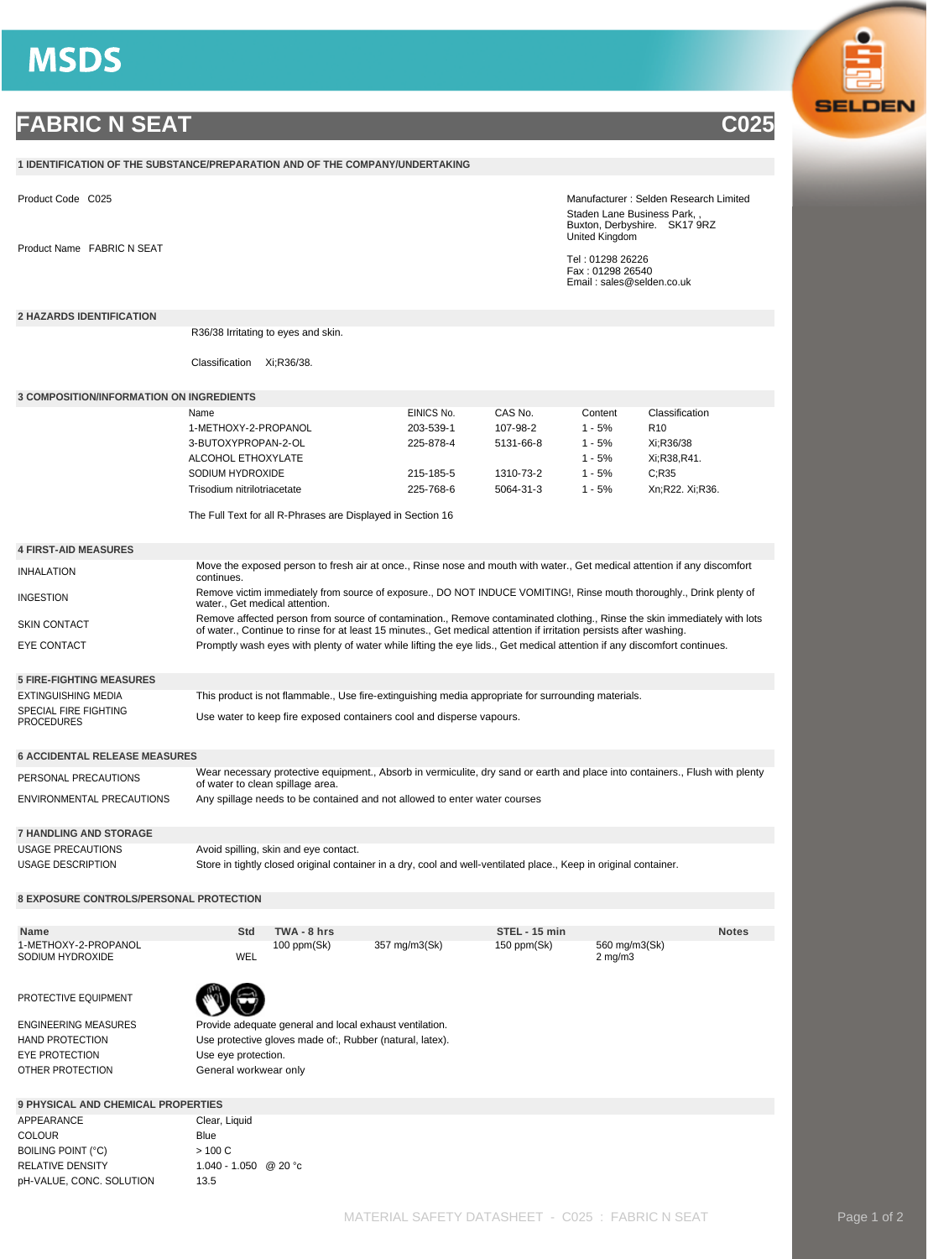## **MSDS**

## **FABRIC N SEAT C025**

| 1 IDENTIFICATION OF THE SUBSTANCE/PREPARATION AND OF THE COMPANY/UNDERTAKING                                                                  |                                                                                                                                                                                                                                                 |             |               |               |                                                        |                                                                                                                              |  |  |
|-----------------------------------------------------------------------------------------------------------------------------------------------|-------------------------------------------------------------------------------------------------------------------------------------------------------------------------------------------------------------------------------------------------|-------------|---------------|---------------|--------------------------------------------------------|------------------------------------------------------------------------------------------------------------------------------|--|--|
| Product Code C025                                                                                                                             |                                                                                                                                                                                                                                                 |             |               |               |                                                        | Manufacturer: Selden Research Limited<br>Staden Lane Business Park,<br>Buxton, Derbyshire. SK17 9RZ                          |  |  |
| Product Name FABRIC N SEAT                                                                                                                    |                                                                                                                                                                                                                                                 |             |               |               | United Kingdom<br>Tel: 01298 26226<br>Fax: 01298 26540 |                                                                                                                              |  |  |
|                                                                                                                                               |                                                                                                                                                                                                                                                 |             |               |               | Email: sales@selden.co.uk                              |                                                                                                                              |  |  |
| <b>2 HAZARDS IDENTIFICATION</b>                                                                                                               |                                                                                                                                                                                                                                                 |             |               |               |                                                        |                                                                                                                              |  |  |
|                                                                                                                                               | R36/38 Irritating to eyes and skin.                                                                                                                                                                                                             |             |               |               |                                                        |                                                                                                                              |  |  |
|                                                                                                                                               | Classification<br>Xi:R36/38.                                                                                                                                                                                                                    |             |               |               |                                                        |                                                                                                                              |  |  |
| <b>3 COMPOSITION/INFORMATION ON INGREDIENTS</b>                                                                                               |                                                                                                                                                                                                                                                 |             |               |               |                                                        |                                                                                                                              |  |  |
|                                                                                                                                               | Name                                                                                                                                                                                                                                            |             | EINICS No.    | CAS No.       | Content                                                | Classification                                                                                                               |  |  |
|                                                                                                                                               | 1-METHOXY-2-PROPANOL                                                                                                                                                                                                                            |             | 203-539-1     | 107-98-2      | $1 - 5%$                                               | R <sub>10</sub>                                                                                                              |  |  |
|                                                                                                                                               | 3-BUTOXYPROPAN-2-OL                                                                                                                                                                                                                             |             | 225-878-4     | 5131-66-8     | $1 - 5%$                                               | Xi:R36/38                                                                                                                    |  |  |
|                                                                                                                                               | ALCOHOL ETHOXYLATE                                                                                                                                                                                                                              |             |               |               | $1 - 5%$                                               | Xi;R38,R41.                                                                                                                  |  |  |
|                                                                                                                                               | SODIUM HYDROXIDE                                                                                                                                                                                                                                |             | 215-185-5     | 1310-73-2     | $1 - 5%$                                               | C; R35                                                                                                                       |  |  |
|                                                                                                                                               | Trisodium nitrilotriacetate                                                                                                                                                                                                                     |             | 225-768-6     | 5064-31-3     | $1 - 5%$                                               | Xn;R22. Xi;R36.                                                                                                              |  |  |
|                                                                                                                                               |                                                                                                                                                                                                                                                 |             |               |               |                                                        |                                                                                                                              |  |  |
|                                                                                                                                               | The Full Text for all R-Phrases are Displayed in Section 16                                                                                                                                                                                     |             |               |               |                                                        |                                                                                                                              |  |  |
| <b>4 FIRST-AID MEASURES</b>                                                                                                                   |                                                                                                                                                                                                                                                 |             |               |               |                                                        |                                                                                                                              |  |  |
| <b>INHALATION</b>                                                                                                                             | Move the exposed person to fresh air at once., Rinse nose and mouth with water., Get medical attention if any discomfort<br>continues.                                                                                                          |             |               |               |                                                        |                                                                                                                              |  |  |
| <b>INGESTION</b>                                                                                                                              | Remove victim immediately from source of exposure., DO NOT INDUCE VOMITING!, Rinse mouth thoroughly., Drink plenty of<br>water., Get medical attention.                                                                                         |             |               |               |                                                        |                                                                                                                              |  |  |
| SKIN CONTACT                                                                                                                                  | Remove affected person from source of contamination., Remove contaminated clothing., Rinse the skin immediately with lots<br>of water., Continue to rinse for at least 15 minutes., Get medical attention if irritation persists after washing. |             |               |               |                                                        |                                                                                                                              |  |  |
| EYE CONTACT                                                                                                                                   | Promptly wash eyes with plenty of water while lifting the eye lids., Get medical attention if any discomfort continues.                                                                                                                         |             |               |               |                                                        |                                                                                                                              |  |  |
| <b>5 FIRE-FIGHTING MEASURES</b>                                                                                                               |                                                                                                                                                                                                                                                 |             |               |               |                                                        |                                                                                                                              |  |  |
| <b>EXTINGUISHING MEDIA</b>                                                                                                                    | This product is not flammable., Use fire-extinguishing media appropriate for surrounding materials.                                                                                                                                             |             |               |               |                                                        |                                                                                                                              |  |  |
| SPECIAL FIRE FIGHTING                                                                                                                         |                                                                                                                                                                                                                                                 |             |               |               |                                                        |                                                                                                                              |  |  |
| <b>PROCEDURES</b>                                                                                                                             | Use water to keep fire exposed containers cool and disperse vapours.                                                                                                                                                                            |             |               |               |                                                        |                                                                                                                              |  |  |
| <b>6 ACCIDENTAL RELEASE MEASURES</b>                                                                                                          |                                                                                                                                                                                                                                                 |             |               |               |                                                        |                                                                                                                              |  |  |
| PERSONAL PRECAUTIONS                                                                                                                          | of water to clean spillage area.                                                                                                                                                                                                                |             |               |               |                                                        | Wear necessary protective equipment., Absorb in vermiculite, dry sand or earth and place into containers., Flush with plenty |  |  |
| ENVIRONMENTAL PRECAUTIONS                                                                                                                     | Any spillage needs to be contained and not allowed to enter water courses                                                                                                                                                                       |             |               |               |                                                        |                                                                                                                              |  |  |
| <b>7 HANDLING AND STORAGE</b>                                                                                                                 |                                                                                                                                                                                                                                                 |             |               |               |                                                        |                                                                                                                              |  |  |
| <b>USAGE PRECAUTIONS</b><br>Avoid spilling, skin and eye contact.                                                                             |                                                                                                                                                                                                                                                 |             |               |               |                                                        |                                                                                                                              |  |  |
| <b>USAGE DESCRIPTION</b><br>Store in tightly closed original container in a dry, cool and well-ventilated place., Keep in original container. |                                                                                                                                                                                                                                                 |             |               |               |                                                        |                                                                                                                              |  |  |
| <b>8 EXPOSURE CONTROLS/PERSONAL PROTECTION</b>                                                                                                |                                                                                                                                                                                                                                                 |             |               |               |                                                        |                                                                                                                              |  |  |
| <b>Name</b>                                                                                                                                   | Std                                                                                                                                                                                                                                             | TWA - 8 hrs |               | STEL - 15 min |                                                        | <b>Notes</b>                                                                                                                 |  |  |
| 1-METHOXY-2-PROPANOL                                                                                                                          |                                                                                                                                                                                                                                                 | 100 ppm(Sk) | 357 mg/m3(Sk) | 150 ppm(Sk)   | 560 mg/m3(Sk)                                          |                                                                                                                              |  |  |
| SODIUM HYDROXIDE                                                                                                                              | WEL                                                                                                                                                                                                                                             |             |               |               | $2 \text{ mg/m}$                                       |                                                                                                                              |  |  |
| PROTECTIVE EQUIPMENT                                                                                                                          |                                                                                                                                                                                                                                                 |             |               |               |                                                        |                                                                                                                              |  |  |
| ENGINEERING MEASURES                                                                                                                          | Provide adequate general and local exhaust ventilation.                                                                                                                                                                                         |             |               |               |                                                        |                                                                                                                              |  |  |
| HAND PROTECTION                                                                                                                               | Use protective gloves made of:, Rubber (natural, latex).                                                                                                                                                                                        |             |               |               |                                                        |                                                                                                                              |  |  |
| <b>EYE PROTECTION</b>                                                                                                                         | Use eye protection.                                                                                                                                                                                                                             |             |               |               |                                                        |                                                                                                                              |  |  |
| OTHER PROTECTION                                                                                                                              | General workwear only                                                                                                                                                                                                                           |             |               |               |                                                        |                                                                                                                              |  |  |
| <b>9 PHYSICAL AND CHEMICAL PROPERTIES</b>                                                                                                     |                                                                                                                                                                                                                                                 |             |               |               |                                                        |                                                                                                                              |  |  |
| APPEARANCE                                                                                                                                    | Clear, Liquid                                                                                                                                                                                                                                   |             |               |               |                                                        |                                                                                                                              |  |  |
| <b>COLOUR</b>                                                                                                                                 | Blue                                                                                                                                                                                                                                            |             |               |               |                                                        |                                                                                                                              |  |  |
| BOILING POINT (°C)                                                                                                                            | > 100 C                                                                                                                                                                                                                                         |             |               |               |                                                        |                                                                                                                              |  |  |
| RELATIVE DENSITY                                                                                                                              | 1.040 - 1.050 @ 20 °c                                                                                                                                                                                                                           |             |               |               |                                                        |                                                                                                                              |  |  |
| pH-VALUE, CONC. SOLUTION                                                                                                                      | 13.5                                                                                                                                                                                                                                            |             |               |               |                                                        |                                                                                                                              |  |  |